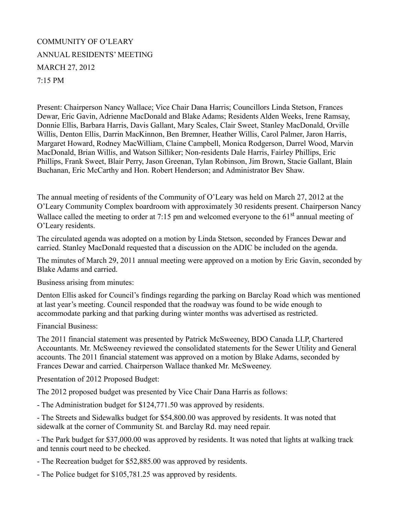## COMMUNITY OF O'LEARY ANNUAL RESIDENTS' MEETING MARCH 27, 2012 7:15 PM

Present: Chairperson Nancy Wallace; Vice Chair Dana Harris; Councillors Linda Stetson, Frances Dewar, Eric Gavin, Adrienne MacDonald and Blake Adams; Residents Alden Weeks, Irene Ramsay, Donnie Ellis, Barbara Harris, Davis Gallant, Mary Scales, Clair Sweet, Stanley MacDonald, Orville Willis, Denton Ellis, Darrin MacKinnon, Ben Bremner, Heather Willis, Carol Palmer, Jaron Harris, Margaret Howard, Rodney MacWilliam, Claine Campbell, Monica Rodgerson, Darrel Wood, Marvin MacDonald, Brian Willis, and Watson Silliker; Non-residents Dale Harris, Fairley Phillips, Eric Phillips, Frank Sweet, Blair Perry, Jason Greenan, Tylan Robinson, Jim Brown, Stacie Gallant, Blain Buchanan, Eric McCarthy and Hon. Robert Henderson; and Administrator Bev Shaw.

The annual meeting of residents of the Community of O'Leary was held on March 27, 2012 at the O'Leary Community Complex boardroom with approximately 30 residents present. Chairperson Nancy Wallace called the meeting to order at 7:15 pm and welcomed everyone to the  $61<sup>st</sup>$  annual meeting of O'Leary residents.

The circulated agenda was adopted on a motion by Linda Stetson, seconded by Frances Dewar and carried. Stanley MacDonald requested that a discussion on the ADIC be included on the agenda.

The minutes of March 29, 2011 annual meeting were approved on a motion by Eric Gavin, seconded by Blake Adams and carried.

Business arising from minutes:

Denton Ellis asked for Council's findings regarding the parking on Barclay Road which was mentioned at last year's meeting. Council responded that the roadway was found to be wide enough to accommodate parking and that parking during winter months was advertised as restricted.

Financial Business:

The 2011 financial statement was presented by Patrick McSweeney, BDO Canada LLP, Chartered Accountants. Mr. McSweeney reviewed the consolidated statements for the Sewer Utility and General accounts. The 2011 financial statement was approved on a motion by Blake Adams, seconded by Frances Dewar and carried. Chairperson Wallace thanked Mr. McSweeney.

Presentation of 2012 Proposed Budget:

The 2012 proposed budget was presented by Vice Chair Dana Harris as follows:

- The Administration budget for \$124,771.50 was approved by residents.

- The Streets and Sidewalks budget for \$54,800.00 was approved by residents. It was noted that sidewalk at the corner of Community St. and Barclay Rd. may need repair.

- The Park budget for \$37,000.00 was approved by residents. It was noted that lights at walking track and tennis court need to be checked.

- The Recreation budget for \$52,885.00 was approved by residents.

- The Police budget for \$105,781.25 was approved by residents.